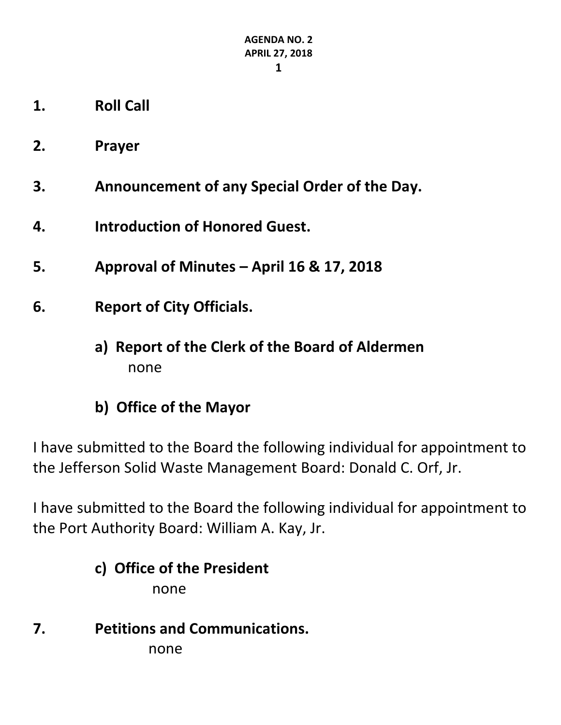- **1. Roll Call**
- **2. Prayer**
- **3. Announcement of any Special Order of the Day.**
- **4. Introduction of Honored Guest.**
- **5. Approval of Minutes – April 16 & 17, 2018**
- **6. Report of City Officials.**
	- **a) Report of the Clerk of the Board of Aldermen** none
	- **b) Office of the Mayor**

I have submitted to the Board the following individual for appointment to the Jefferson Solid Waste Management Board: Donald C. Orf, Jr.

I have submitted to the Board the following individual for appointment to the Port Authority Board: William A. Kay, Jr.

#### **c) Office of the President**

none

**7. Petitions and Communications.**

none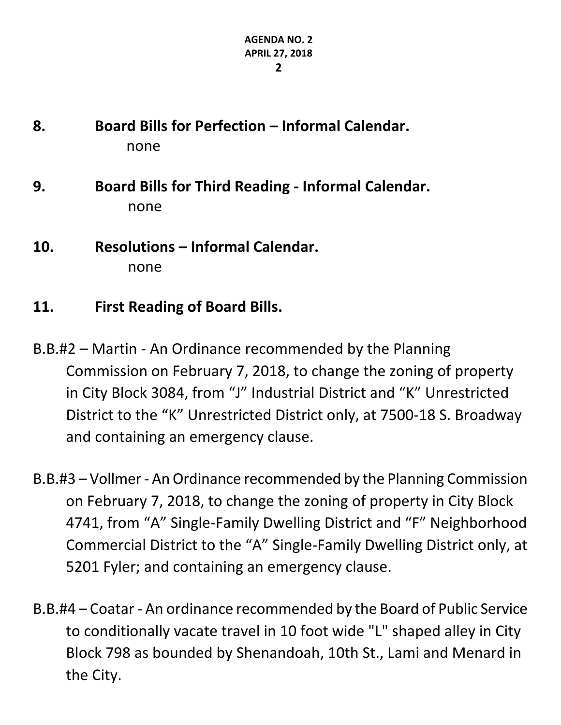- **8. Board Bills for Perfection – Informal Calendar.** none
- **9. Board Bills for Third Reading - Informal Calendar.** none
- **10. Resolutions – Informal Calendar.** none
- **11. First Reading of Board Bills.**
- B.B.#2 Martin An Ordinance recommended by the Planning Commission on February 7, 2018, to change the zoning of property in City Block 3084, from "J" Industrial District and "K" Unrestricted District to the "K" Unrestricted District only, at 7500-18 S. Broadway and containing an emergency clause.
- B.B.#3 Vollmer An Ordinance recommended by the Planning Commission on February 7, 2018, to change the zoning of property in City Block 4741, from "A" Single-Family Dwelling District and "F" Neighborhood Commercial District to the "A" Single-Family Dwelling District only, at 5201 Fyler; and containing an emergency clause.
- B.B.#4 Coatar An ordinance recommended by the Board of Public Service to conditionally vacate travel in 10 foot wide "L" shaped alley in City Block 798 as bounded by Shenandoah, 10th St., Lami and Menard in the City.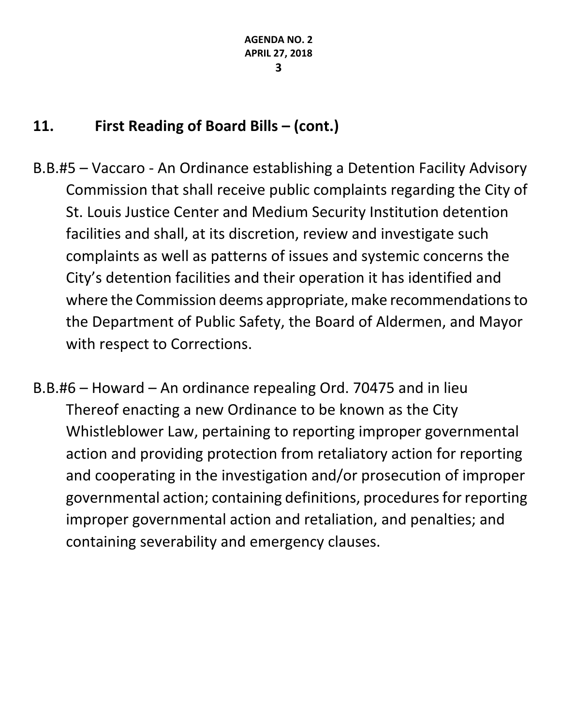- B.B.#5 Vaccaro An Ordinance establishing a Detention Facility Advisory Commission that shall receive public complaints regarding the City of St. Louis Justice Center and Medium Security Institution detention facilities and shall, at its discretion, review and investigate such complaints as well as patterns of issues and systemic concerns the City's detention facilities and their operation it has identified and where the Commission deems appropriate, make recommendations to the Department of Public Safety, the Board of Aldermen, and Mayor with respect to Corrections.
- B.B.#6 Howard An ordinance repealing Ord. 70475 and in lieu Thereof enacting a new Ordinance to be known as the City Whistleblower Law, pertaining to reporting improper governmental action and providing protection from retaliatory action for reporting and cooperating in the investigation and/or prosecution of improper governmental action; containing definitions, procedures for reporting improper governmental action and retaliation, and penalties; and containing severability and emergency clauses.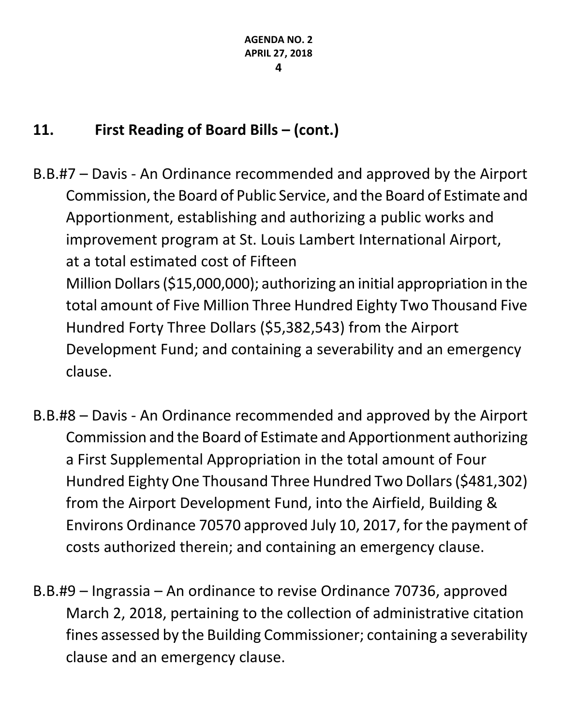- B.B.#7 Davis An Ordinance recommended and approved by the Airport Commission, the Board of Public Service, and the Board of Estimate and Apportionment, establishing and authorizing a public works and improvement program at St. Louis Lambert International Airport, at a total estimated cost of Fifteen Million Dollars (\$15,000,000); authorizing an initial appropriation in the total amount of Five Million Three Hundred Eighty Two Thousand Five Hundred Forty Three Dollars (\$5,382,543) from the Airport Development Fund; and containing a severability and an emergency clause.
- B.B.#8 Davis An Ordinance recommended and approved by the Airport Commission and the Board of Estimate and Apportionment authorizing a First Supplemental Appropriation in the total amount of Four Hundred Eighty One Thousand Three Hundred Two Dollars (\$481,302) from the Airport Development Fund, into the Airfield, Building & Environs Ordinance 70570 approved July 10, 2017, for the payment of costs authorized therein; and containing an emergency clause.
- B.B.#9 Ingrassia An ordinance to revise Ordinance 70736, approved March 2, 2018, pertaining to the collection of administrative citation fines assessed by the Building Commissioner; containing a severability clause and an emergency clause.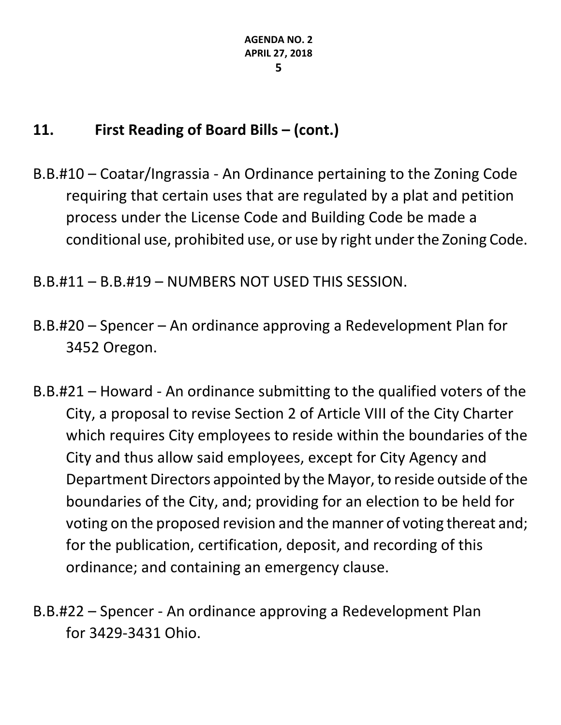B.B.#10 – Coatar/Ingrassia - An Ordinance pertaining to the Zoning Code requiring that certain uses that are regulated by a plat and petition process under the License Code and Building Code be made a conditional use, prohibited use, or use by right under the Zoning Code.

B.B.#11 – B.B.#19 – NUMBERS NOT USED THIS SESSION.

- B.B.#20 Spencer An ordinance approving a Redevelopment Plan for 3452 Oregon.
- B.B.#21 Howard An ordinance submitting to the qualified voters of the City, a proposal to revise Section 2 of Article VIII of the City Charter which requires City employees to reside within the boundaries of the City and thus allow said employees, except for City Agency and Department Directors appointed by the Mayor, to reside outside of the boundaries of the City, and; providing for an election to be held for voting on the proposed revision and the manner of voting thereat and; for the publication, certification, deposit, and recording of this ordinance; and containing an emergency clause.
- B.B.#22 Spencer An ordinance approving a Redevelopment Plan for 3429-3431 Ohio.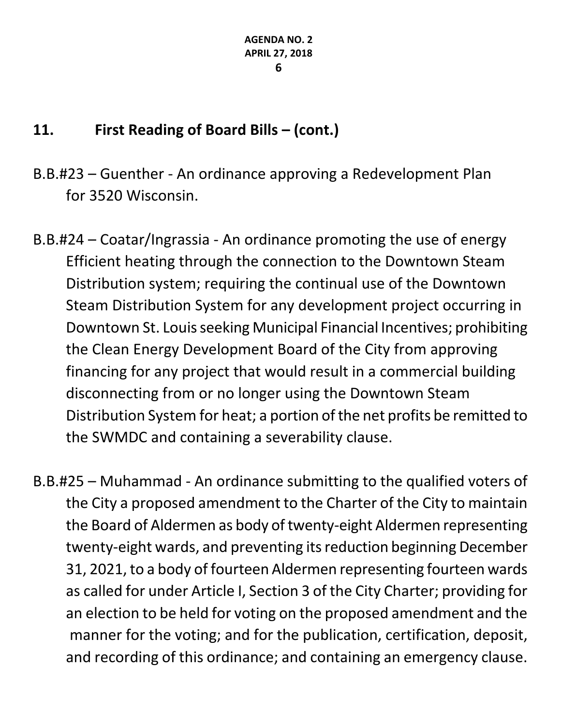- B.B.#23 Guenther An ordinance approving a Redevelopment Plan for 3520 Wisconsin.
- B.B.#24 Coatar/Ingrassia An ordinance promoting the use of energy Efficient heating through the connection to the Downtown Steam Distribution system; requiring the continual use of the Downtown Steam Distribution System for any development project occurring in Downtown St. Louis seeking Municipal Financial Incentives; prohibiting the Clean Energy Development Board of the City from approving financing for any project that would result in a commercial building disconnecting from or no longer using the Downtown Steam Distribution System for heat; a portion of the net profits be remitted to the SWMDC and containing a severability clause.
- B.B.#25 Muhammad An ordinance submitting to the qualified voters of the City a proposed amendment to the Charter of the City to maintain the Board of Aldermen as body of twenty-eight Aldermen representing twenty-eight wards, and preventing its reduction beginning December 31, 2021, to a body of fourteen Aldermen representing fourteen wards as called for under Article I, Section 3 of the City Charter; providing for an election to be held for voting on the proposed amendment and the manner for the voting; and for the publication, certification, deposit, and recording of this ordinance; and containing an emergency clause.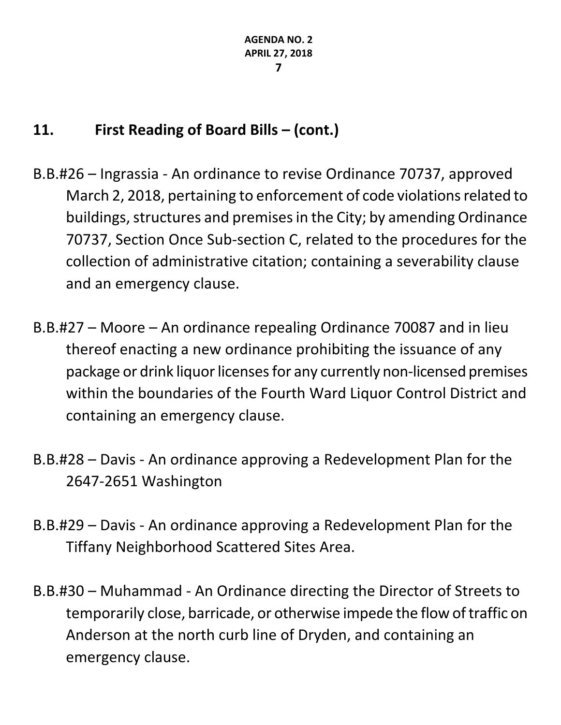- B.B.#26 Ingrassia An ordinance to revise Ordinance 70737, approved March 2, 2018, pertaining to enforcement of code violations related to buildings, structures and premises in the City; by amending Ordinance 70737, Section Once Sub-section C, related to the procedures for the collection of administrative citation; containing a severability clause and an emergency clause.
- B.B.#27 Moore An ordinance repealing Ordinance 70087 and in lieu thereof enacting a new ordinance prohibiting the issuance of any package or drink liquor licenses for any currently non-licensed premises within the boundaries of the Fourth Ward Liquor Control District and containing an emergency clause.
- B.B.#28 Davis An ordinance approving a Redevelopment Plan for the 2647-2651 Washington
- B.B.#29 Davis An ordinance approving a Redevelopment Plan for the Tiffany Neighborhood Scattered Sites Area.
- B.B.#30 Muhammad An Ordinance directing the Director of Streets to temporarily close, barricade, or otherwise impede the flow of traffic on Anderson at the north curb line of Dryden, and containing an emergency clause.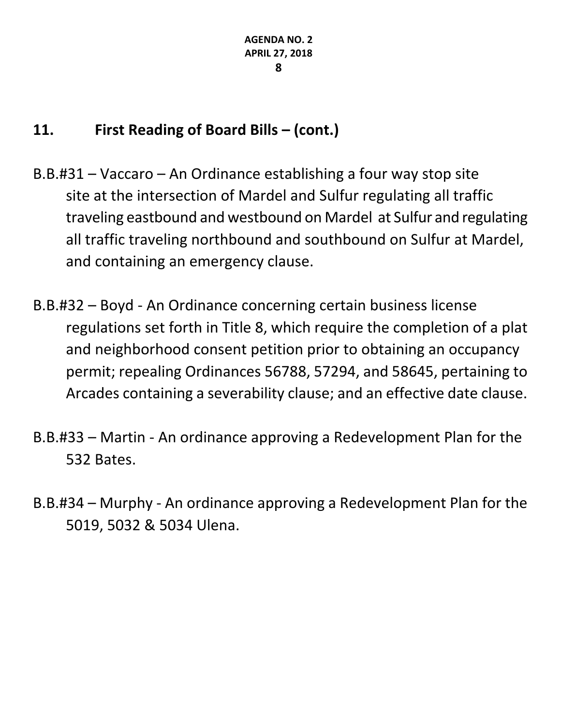- B.B.#31 Vaccaro An Ordinance establishing a four way stop site site at the intersection of Mardel and Sulfur regulating all traffic traveling eastbound and westbound on Mardel at Sulfur and regulating all traffic traveling northbound and southbound on Sulfur at Mardel, and containing an emergency clause.
- B.B.#32 Boyd An Ordinance concerning certain business license regulations set forth in Title 8, which require the completion of a plat and neighborhood consent petition prior to obtaining an occupancy permit; repealing Ordinances 56788, 57294, and 58645, pertaining to Arcades containing a severability clause; and an effective date clause.
- B.B.#33 Martin An ordinance approving a Redevelopment Plan for the 532 Bates.
- B.B.#34 Murphy An ordinance approving a Redevelopment Plan for the 5019, 5032 & 5034 Ulena.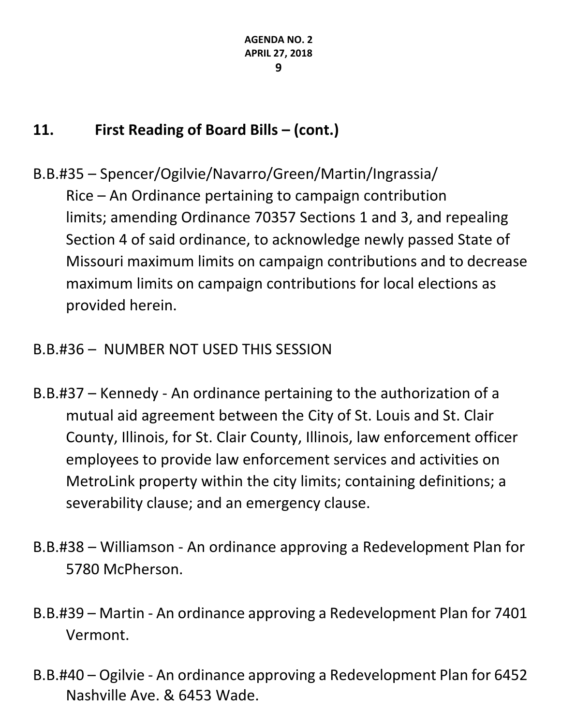- B.B.#35 Spencer/Ogilvie/Navarro/Green/Martin/Ingrassia/ Rice – An Ordinance pertaining to campaign contribution limits; amending Ordinance 70357 Sections 1 and 3, and repealing Section 4 of said ordinance, to acknowledge newly passed State of Missouri maximum limits on campaign contributions and to decrease maximum limits on campaign contributions for local elections as provided herein.
- B.B.#36 NUMBER NOT USED THIS SESSION
- B.B.#37 Kennedy An ordinance pertaining to the authorization of a mutual aid agreement between the City of St. Louis and St. Clair County, Illinois, for St. Clair County, Illinois, law enforcement officer employees to provide law enforcement services and activities on MetroLink property within the city limits; containing definitions; a severability clause; and an emergency clause.
- B.B.#38 Williamson An ordinance approving a Redevelopment Plan for 5780 McPherson.
- B.B.#39 Martin An ordinance approving a Redevelopment Plan for 7401 Vermont.
- B.B.#40 Ogilvie An ordinance approving a Redevelopment Plan for 6452 Nashville Ave. & 6453 Wade.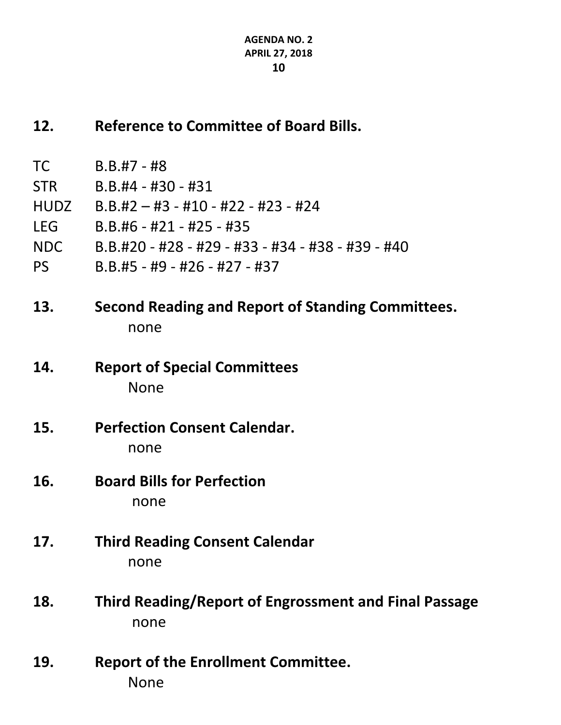#### **12. Reference to Committee of Board Bills.**

- TC B.B.#7 #8
- STR B.B.#4 #30 #31
- HUDZ B.B.#2 #3 #10 #22 #23 #24
- LEG B.B.#6 #21 #25 #35
- NDC B.B.#20 #28 #29 #33 #34 #38 #39 #40
- PS B.B.#5 #9 #26 #27 #37
- **13. Second Reading and Report of Standing Committees.** none
- **14. Report of Special Committees** None
- **15. Perfection Consent Calendar.** none
- **16. Board Bills for Perfection** none
- **17. Third Reading Consent Calendar** none
- **18. Third Reading/Report of Engrossment and Final Passage** none
- **19. Report of the Enrollment Committee.** None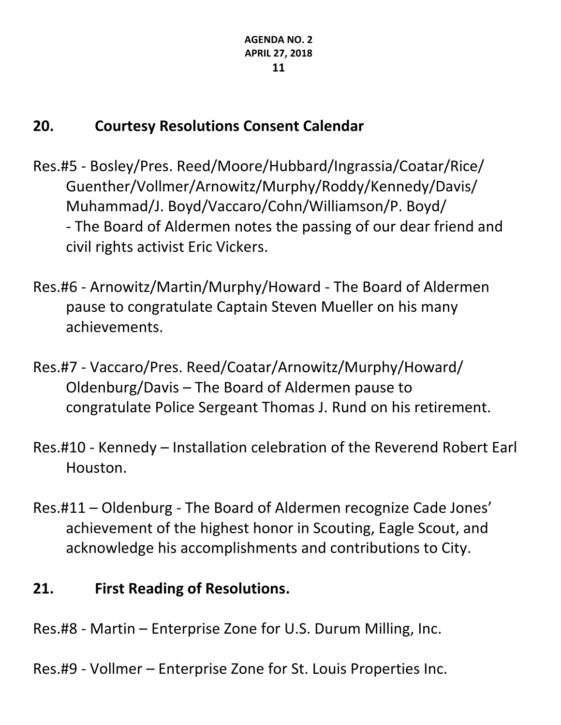# **20. Courtesy Resolutions Consent Calendar**

- Res.#5 Bosley/Pres. Reed/Moore/Hubbard/Ingrassia/Coatar/Rice/ Guenther/Vollmer/Arnowitz/Murphy/Roddy/Kennedy/Davis/ Muhammad/J. Boyd/Vaccaro/Cohn/Williamson/P. Boyd/ - The Board of Aldermen notes the passing of our dear friend and civil rights activist Eric Vickers.
- Res.#6 Arnowitz/Martin/Murphy/Howard The Board of Aldermen pause to congratulate Captain Steven Mueller on his many achievements.
- Res.#7 Vaccaro/Pres. Reed/Coatar/Arnowitz/Murphy/Howard/ Oldenburg/Davis – The Board of Aldermen pause to congratulate Police Sergeant Thomas J. Rund on his retirement.
- Res.#10 Kennedy Installation celebration of the Reverend Robert Earl Houston.
- Res.#11 Oldenburg The Board of Aldermen recognize Cade Jones' achievement of the highest honor in Scouting, Eagle Scout, and acknowledge his accomplishments and contributions to City.

# **21. First Reading of Resolutions.**

- Res.#8 Martin Enterprise Zone for U.S. Durum Milling, Inc.
- Res.#9 Vollmer Enterprise Zone for St. Louis Properties Inc.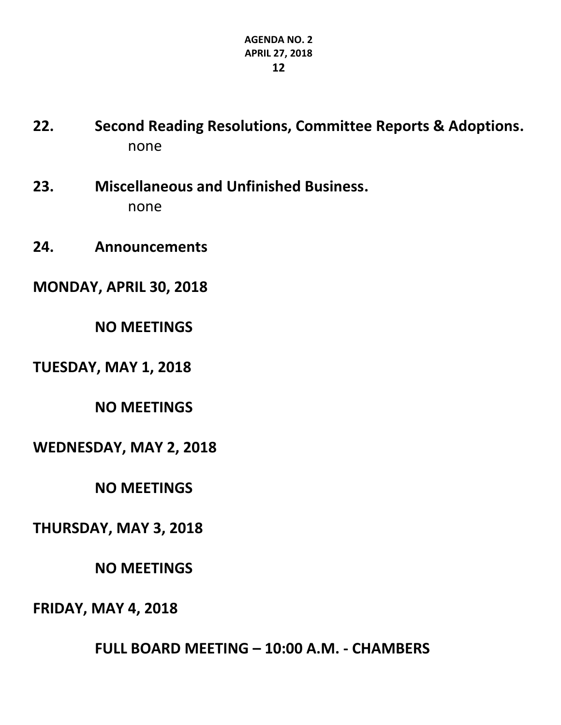- **22. Second Reading Resolutions, Committee Reports & Adoptions.** none
- **23. Miscellaneous and Unfinished Business.** none
- **24. Announcements**

**MONDAY, APRIL 30, 2018**

**NO MEETINGS**

**TUESDAY, MAY 1, 2018**

**NO MEETINGS**

**WEDNESDAY, MAY 2, 2018**

**NO MEETINGS**

**THURSDAY, MAY 3, 2018**

**NO MEETINGS**

**FRIDAY, MAY 4, 2018**

**FULL BOARD MEETING – 10:00 A.M. - CHAMBERS**